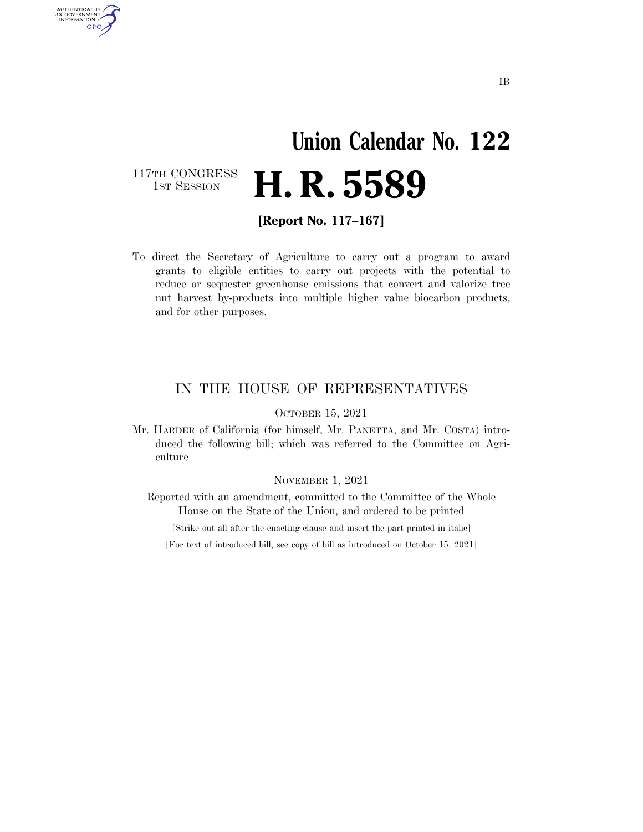### **Union Calendar No. 122**  117TH CONGRESS<br>1st Session H. R. 5589

**[Report No. 117–167]** 

AUTHENTICATED<br>U.S. GOVERNMENT<br>INFORMATION **GPO** 

> To direct the Secretary of Agriculture to carry out a program to award grants to eligible entities to carry out projects with the potential to reduce or sequester greenhouse emissions that convert and valorize tree nut harvest by-products into multiple higher value biocarbon products, and for other purposes.

#### IN THE HOUSE OF REPRESENTATIVES

OCTOBER 15, 2021

Mr. HARDER of California (for himself, Mr. PANETTA, and Mr. COSTA) introduced the following bill; which was referred to the Committee on Agriculture

NOVEMBER 1, 2021

Reported with an amendment, committed to the Committee of the Whole House on the State of the Union, and ordered to be printed

[Strike out all after the enacting clause and insert the part printed in italic]

[For text of introduced bill, see copy of bill as introduced on October 15, 2021]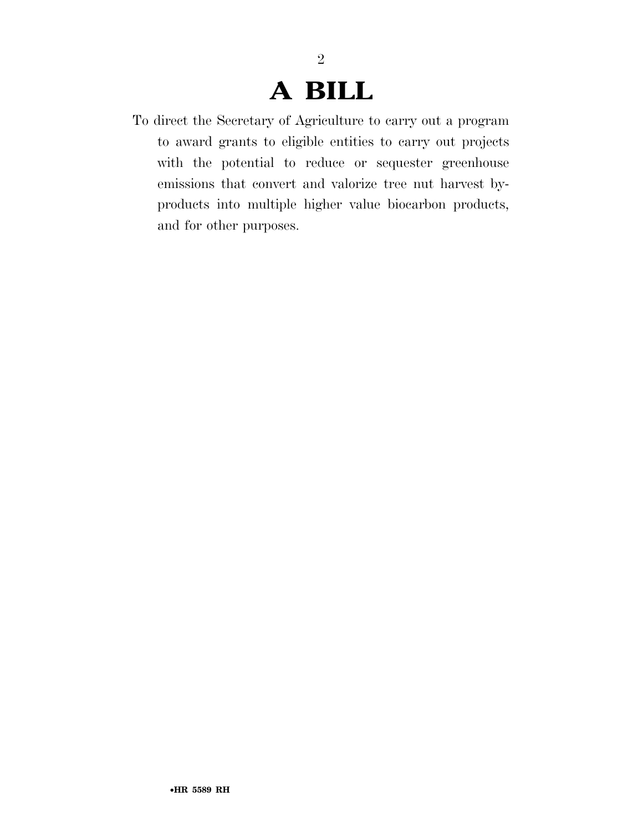## **A BILL**

2

To direct the Secretary of Agriculture to carry out a program to award grants to eligible entities to carry out projects with the potential to reduce or sequester greenhouse emissions that convert and valorize tree nut harvest byproducts into multiple higher value biocarbon products, and for other purposes.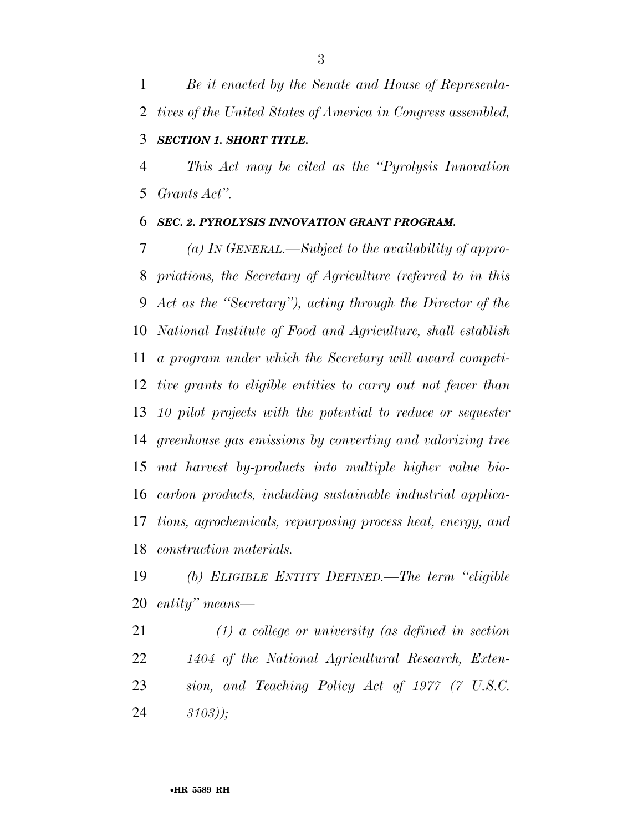*Be it enacted by the Senate and House of Representa- tives of the United States of America in Congress assembled, SECTION 1. SHORT TITLE.* 

 *This Act may be cited as the ''Pyrolysis Innovation Grants Act''.* 

#### *SEC. 2. PYROLYSIS INNOVATION GRANT PROGRAM.*

 *(a) IN GENERAL.—Subject to the availability of appro- priations, the Secretary of Agriculture (referred to in this Act as the ''Secretary''), acting through the Director of the National Institute of Food and Agriculture, shall establish a program under which the Secretary will award competi- tive grants to eligible entities to carry out not fewer than 10 pilot projects with the potential to reduce or sequester greenhouse gas emissions by converting and valorizing tree nut harvest by-products into multiple higher value bio- carbon products, including sustainable industrial applica- tions, agrochemicals, repurposing process heat, energy, and construction materials.* 

 *(b) ELIGIBLE ENTITY DEFINED.—The term ''eligible entity'' means—* 

 *(1) a college or university (as defined in section 1404 of the National Agricultural Research, Exten- sion, and Teaching Policy Act of 1977 (7 U.S.C. 3103));*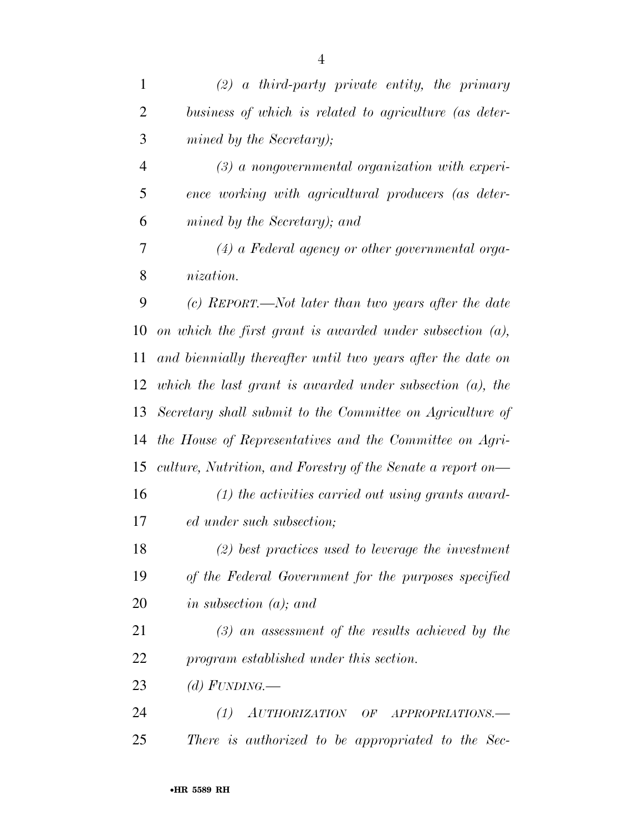*(2) a third-party private entity, the primary business of which is related to agriculture (as deter- mined by the Secretary); (3) a nongovernmental organization with experi- ence working with agricultural producers (as deter- mined by the Secretary); and (4) a Federal agency or other governmental orga- nization. (c) REPORT.—Not later than two years after the date on which the first grant is awarded under subsection (a), and biennially thereafter until two years after the date on which the last grant is awarded under subsection (a), the Secretary shall submit to the Committee on Agriculture of the House of Representatives and the Committee on Agri- culture, Nutrition, and Forestry of the Senate a report on— (1) the activities carried out using grants award- ed under such subsection; (2) best practices used to leverage the investment of the Federal Government for the purposes specified in subsection (a); and (3) an assessment of the results achieved by the program established under this section. (d) FUNDING.—* 

 *(1) AUTHORIZATION OF APPROPRIATIONS.— There is authorized to be appropriated to the Sec-*

•**HR 5589 RH**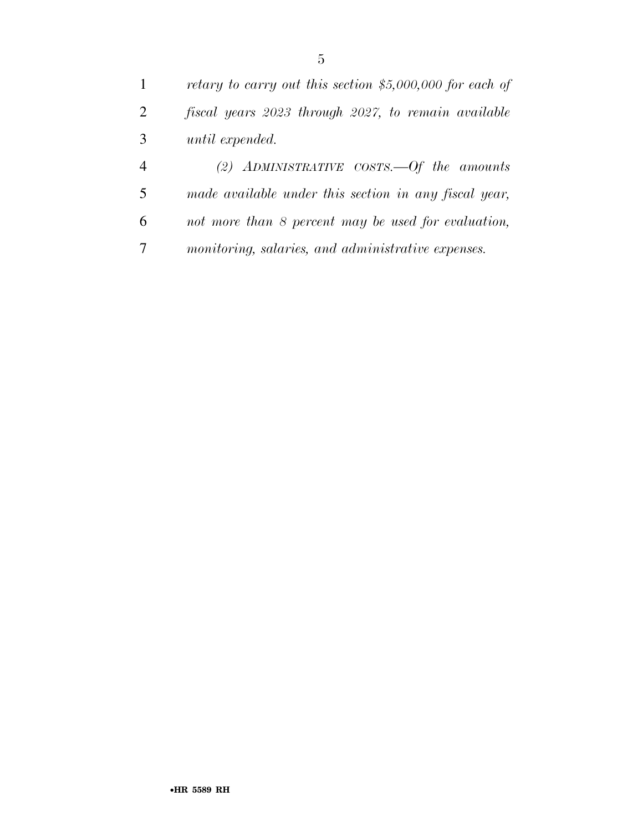| $\mathbf{1}$   | retary to carry out this section $$5,000,000$ for each of |
|----------------|-----------------------------------------------------------|
| 2              | fiscal years 2023 through 2027, to remain available       |
| 3              | until expended.                                           |
| $\overline{4}$ | (2) ADMINISTRATIVE COSTS.—Of the amounts                  |
| -5             | made available under this section in any fiscal year,     |
| 6              | not more than 8 percent may be used for evaluation,       |
|                | monitoring, salaries, and administrative expenses.        |